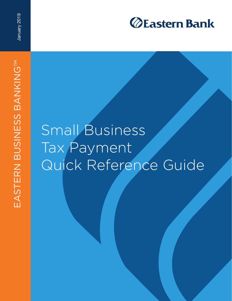

## Small Business Tax Payment Quick Reference Guide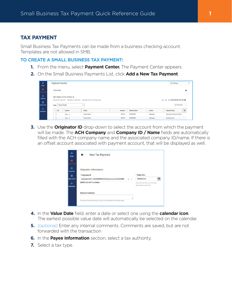## **TAX PAYMENT**

Small Business Tax Payments can be made from a business checking account. Templates are not allowed in SMB.

## **TO CREATE A SMALL BUSINESS TAX PAYMENT:**

- **1.** From the menu, select **Payment Center.** The Payment Center appears.
- **2.** On the Small Business Payments List, click **Add a New Tax Payment**.

| 音<br>Home.                         | <b>Payment Center</b>                                                                                                 |                                               |            |        |                     |               | Add Widget                |   |
|------------------------------------|-----------------------------------------------------------------------------------------------------------------------|-----------------------------------------------|------------|--------|---------------------|---------------|---------------------------|---|
| 画<br>yment Cente                   | Payments                                                                                                              |                                               |            |        |                     |               |                           | * |
| 齑<br>Accounts<br>ø<br>Payee Center | Max display of info: 90 days @<br>Add A Payment A Add a Collection A Add a New Tax Payment<br>Select fields<br>Filter | Be C 00/00/0000 00:00 AM<br>e.<br>My Payments |            |        |                     |               |                           |   |
| as.<br>Employees                   | AII                                                                                                                   | <b>Actions</b>                                | Payee      | Amount | <b>Payment Date</b> | <b>Status</b> | <b>Payment Type</b>       | * |
|                                    | $\Box$                                                                                                                | View $\star$                                  | Payee Name | 000.00 | 00/00/0000          | Released      | Standard Collection (ACH) |   |
|                                    | $\qquad \qquad \Box$                                                                                                  | View $\star$                                  | Payee Name | 000,00 | 00/00/0000          | Released      | <b>Tax Payments</b>       |   |

**3.** Use the **Originator ID** drop-down to select the account from which the payment will be made. The **ACH Company** and **Company ID / Name** fields are automatically filled with the ACH company name and the associated company ID/name. If there is an offset account associated with payment account, that will be displayed as well.

| <b>New Tax Payment</b>                                              |                                                     |              |   |
|---------------------------------------------------------------------|-----------------------------------------------------|--------------|---|
| <b>Originator Information</b>                                       |                                                     | * Value Date |   |
| * Originator ID<br>Basicall ACH- 0000000000-OffsetAccount 000000000 | $x - r$                                             | 00/00/0000   | 釂 |
| (\$000.00) USD Available                                            | Payment must be approved by<br>00/00/0000 00:00 EST |              |   |
| <b>Internal Comments</b>                                            |                                                     |              |   |
| Stored with the transaction, but not forwarded with the payment     | B                                                   |              |   |

- **4.** In the **Value Date** field, enter a date or select one using the **calendar icon**. The earliest possible value date will automatically be selected on the calendar.
- **5.** *(optional)* Enter any internal comments. Comments are saved, but are not forwarded with the transaction
- **6.** In the **Payee Information** section, select a tax authority.
- **7.** Select a tax type.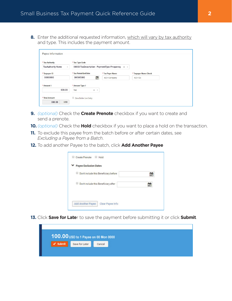**8.** Enter the additional requested information, which will vary by tax authority and type. This includes the payment amount.

| * Tax Authority                          | * Tax Type Code                              |                          |                       |
|------------------------------------------|----------------------------------------------|--------------------------|-----------------------|
| <b>TaxAuthority Name</b><br>$\mathbf{v}$ | 0000X-TaxDescription - PaymentType Frequency | $\times$ $^{-}$ $\times$ |                       |
| * Taxpayer ID                            | * Tax Period End Date                        | * Tax Payer Name         | * Taxpayer Name Check |
| 00000000                                 | 釂<br>00/00/0000                              | <b>ACH Company</b>       | ACH Co                |
| * Amount 1                               | * Amount Type 1                              |                          |                       |
| 000.00                                   | Tax<br>$x - v$                               |                          |                       |
| * Total Amount                           | Zero Dollar Live Entry                       |                          |                       |
| 000.00<br><b>USD</b>                     |                                              |                          |                       |

- **9.** *(optional)* Check the **Create Prenote** checkbox if you want to create and send a prenote.
- **10.** *(optional)* Check the **Hold** checkbox if you want to place a hold on the transaction.
- **11.** To exclude this payee from the batch before or after certain dates, see *Excluding a Payee from a Batch*.
- **12.** To add another Payee to the batch, click **Add Another Payee**

| Payee Exclusion Dates                        |  |
|----------------------------------------------|--|
| Don't include this Beneficiary before<br>u   |  |
| Don't include this Beneficiary after         |  |
| <b>Add Another Payee</b><br>Clear Payee Info |  |

13. Click Save for Later to save the payment before submitting it or click Submit.